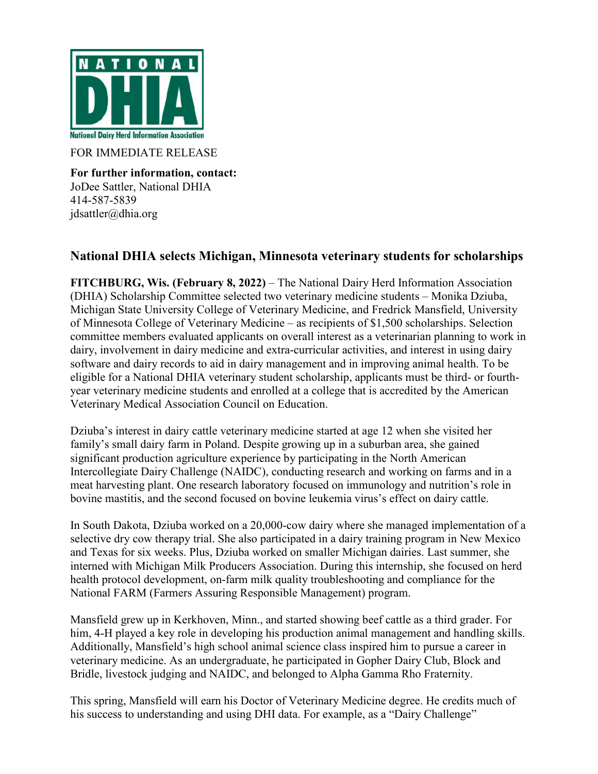

FOR IMMEDIATE RELEASE

**For further information, contact:** JoDee Sattler, National DHIA 414-587-5839 jdsattler@dhia.org

## **National DHIA selects Michigan, Minnesota veterinary students for scholarships**

**FITCHBURG, Wis. (February 8, 2022)** – The National Dairy Herd Information Association (DHIA) Scholarship Committee selected two veterinary medicine students – Monika Dziuba, Michigan State University College of Veterinary Medicine, and Fredrick Mansfield, University of Minnesota College of Veterinary Medicine – as recipients of \$1,500 scholarships. Selection committee members evaluated applicants on overall interest as a veterinarian planning to work in dairy, involvement in dairy medicine and extra-curricular activities, and interest in using dairy software and dairy records to aid in dairy management and in improving animal health. To be eligible for a National DHIA veterinary student scholarship, applicants must be third- or fourthyear veterinary medicine students and enrolled at a college that is accredited by the American Veterinary Medical Association Council on Education.

Dziuba's interest in dairy cattle veterinary medicine started at age 12 when she visited her family's small dairy farm in Poland. Despite growing up in a suburban area, she gained significant production agriculture experience by participating in the North American Intercollegiate Dairy Challenge (NAIDC), conducting research and working on farms and in a meat harvesting plant. One research laboratory focused on immunology and nutrition's role in bovine mastitis, and the second focused on bovine leukemia virus's effect on dairy cattle.

In South Dakota, Dziuba worked on a 20,000-cow dairy where she managed implementation of a selective dry cow therapy trial. She also participated in a dairy training program in New Mexico and Texas for six weeks. Plus, Dziuba worked on smaller Michigan dairies. Last summer, she interned with Michigan Milk Producers Association. During this internship, she focused on herd health protocol development, on-farm milk quality troubleshooting and compliance for the National FARM (Farmers Assuring Responsible Management) program.

Mansfield grew up in Kerkhoven, Minn., and started showing beef cattle as a third grader. For him, 4-H played a key role in developing his production animal management and handling skills. Additionally, Mansfield's high school animal science class inspired him to pursue a career in veterinary medicine. As an undergraduate, he participated in Gopher Dairy Club, Block and Bridle, livestock judging and NAIDC, and belonged to Alpha Gamma Rho Fraternity.

This spring, Mansfield will earn his Doctor of Veterinary Medicine degree. He credits much of his success to understanding and using DHI data. For example, as a "Dairy Challenge"